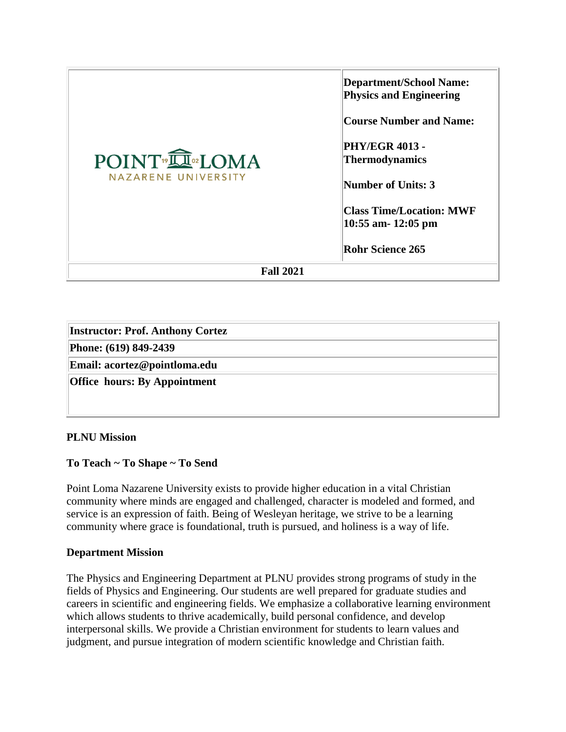| POINT <sup>®</sup> IOMA<br>NAZARENE UNIVERSITY | <b>Department/School Name:</b><br><b>Physics and Engineering</b><br><b>Course Number and Name:</b><br><b>PHY/EGR 4013 -</b><br>Thermodynamics<br><b>Number of Units: 3</b> |  |
|------------------------------------------------|----------------------------------------------------------------------------------------------------------------------------------------------------------------------------|--|
|                                                | <b>Class Time/Location: MWF</b><br>10:55 am- 12:05 pm<br><b>Rohr Science 265</b>                                                                                           |  |
| <b>Fall 2021</b>                               |                                                                                                                                                                            |  |

| <b>Instructor: Prof. Anthony Cortez</b> |  |
|-----------------------------------------|--|
| Phone: (619) 849-2439                   |  |
| Email: acortez@pointloma.edu            |  |
| <b>Office hours: By Appointment</b>     |  |
|                                         |  |

## **PLNU Mission**

## **To Teach ~ To Shape ~ To Send**

Point Loma Nazarene University exists to provide higher education in a vital Christian community where minds are engaged and challenged, character is modeled and formed, and service is an expression of faith. Being of Wesleyan heritage, we strive to be a learning community where grace is foundational, truth is pursued, and holiness is a way of life.

#### **Department Mission**

The Physics and Engineering Department at PLNU provides strong programs of study in the fields of Physics and Engineering. Our students are well prepared for graduate studies and careers in scientific and engineering fields. We emphasize a collaborative learning environment which allows students to thrive academically, build personal confidence, and develop interpersonal skills. We provide a Christian environment for students to learn values and judgment, and pursue integration of modern scientific knowledge and Christian faith.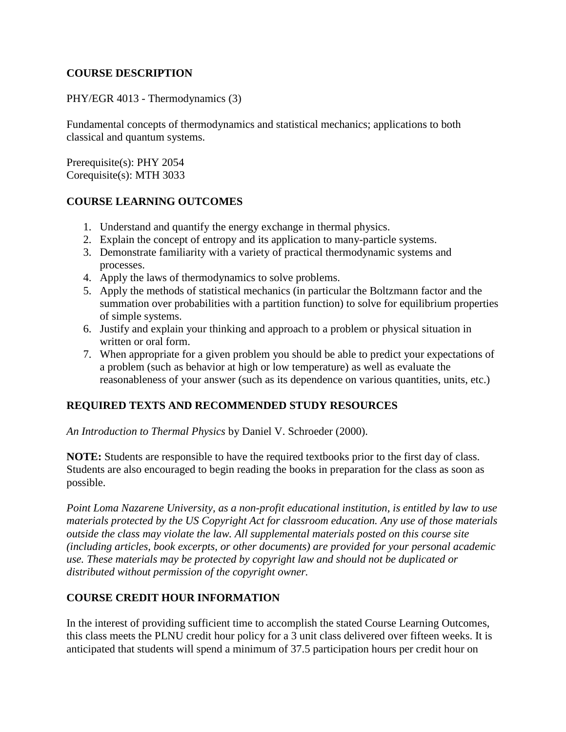## **COURSE DESCRIPTION**

### PHY/EGR 4013 - Thermodynamics (3)

Fundamental concepts of thermodynamics and statistical mechanics; applications to both classical and quantum systems.

Prerequisite(s): PHY 2054 Corequisite(s): MTH 3033

#### **COURSE LEARNING OUTCOMES**

- 1. Understand and quantify the energy exchange in thermal physics.
- 2. Explain the concept of entropy and its application to many-particle systems.
- 3. Demonstrate familiarity with a variety of practical thermodynamic systems and processes.
- 4. Apply the laws of thermodynamics to solve problems.
- 5. Apply the methods of statistical mechanics (in particular the Boltzmann factor and the summation over probabilities with a partition function) to solve for equilibrium properties of simple systems.
- 6. Justify and explain your thinking and approach to a problem or physical situation in written or oral form.
- 7. When appropriate for a given problem you should be able to predict your expectations of a problem (such as behavior at high or low temperature) as well as evaluate the reasonableness of your answer (such as its dependence on various quantities, units, etc.)

## **REQUIRED TEXTS AND RECOMMENDED STUDY RESOURCES**

*An Introduction to Thermal Physics* by Daniel V. Schroeder (2000).

**NOTE:** Students are responsible to have the required textbooks prior to the first day of class. Students are also encouraged to begin reading the books in preparation for the class as soon as possible.

*Point Loma Nazarene University, as a non-profit educational institution, is entitled by law to use materials protected by the US Copyright Act for classroom education. Any use of those materials outside the class may violate the law. All supplemental materials posted on this course site (including articles, book excerpts, or other documents) are provided for your personal academic use. These materials may be protected by copyright law and should not be duplicated or distributed without permission of the copyright owner.*

## **COURSE CREDIT HOUR INFORMATION**

In the interest of providing sufficient time to accomplish the stated Course Learning Outcomes, this class meets the PLNU credit hour policy for a 3 unit class delivered over fifteen weeks. It is anticipated that students will spend a minimum of 37.5 participation hours per credit hour on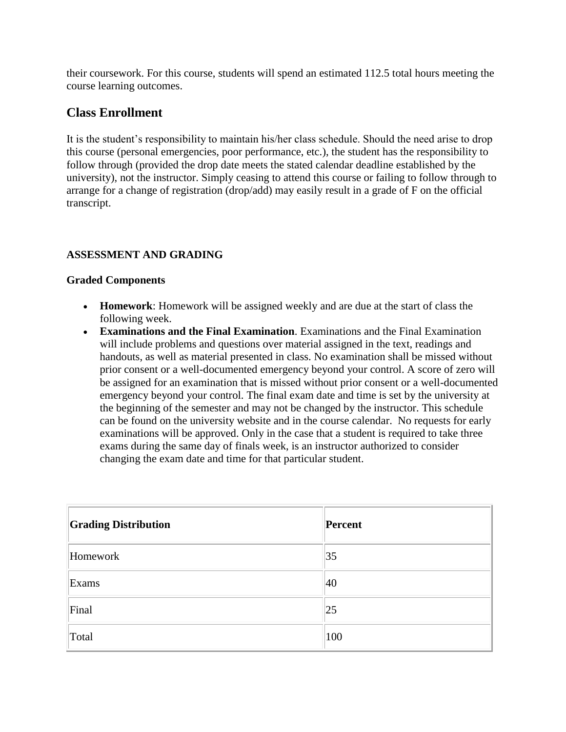their coursework. For this course, students will spend an estimated 112.5 total hours meeting the course learning outcomes.

# **Class Enrollment**

It is the student's responsibility to maintain his/her class schedule. Should the need arise to drop this course (personal emergencies, poor performance, etc.), the student has the responsibility to follow through (provided the drop date meets the stated calendar deadline established by the university), not the instructor. Simply ceasing to attend this course or failing to follow through to arrange for a change of registration (drop/add) may easily result in a grade of F on the official transcript.

## **ASSESSMENT AND GRADING**

#### **Graded Components**

- **Homework**: Homework will be assigned weekly and are due at the start of class the following week.
- **Examinations and the Final Examination**. Examinations and the Final Examination will include problems and questions over material assigned in the text, readings and handouts, as well as material presented in class. No examination shall be missed without prior consent or a well-documented emergency beyond your control. A score of zero will be assigned for an examination that is missed without prior consent or a well-documented emergency beyond your control. The final exam date and time is set by the university at the beginning of the semester and may not be changed by the instructor. This schedule can be found on the university website and in the course calendar. No requests for early examinations will be approved. Only in the case that a student is required to take three exams during the same day of finals week, is an instructor authorized to consider changing the exam date and time for that particular student.

| <b>Grading Distribution</b> | Percent |
|-----------------------------|---------|
| Homework                    | 35      |
| Exams                       | 40      |
| Final                       | 25      |
| Total                       | 100     |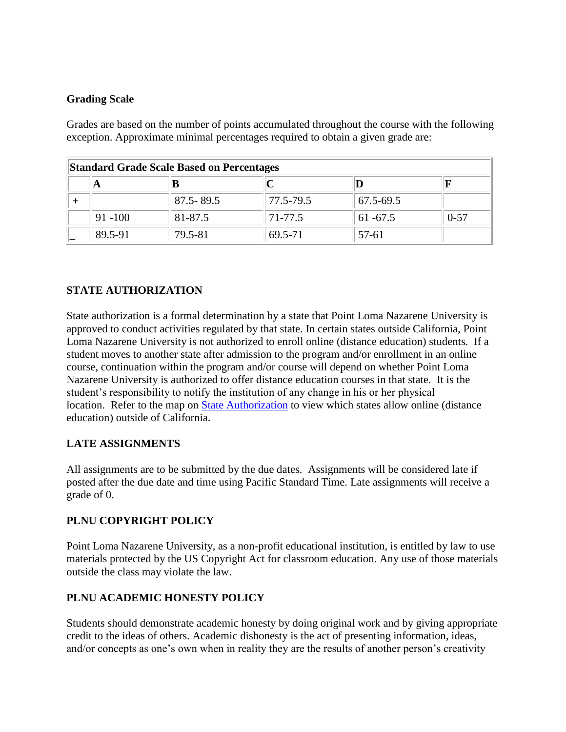## **Grading Scale**

Grades are based on the number of points accumulated throughout the course with the following exception. Approximate minimal percentages required to obtain a given grade are:

| <b>Standard Grade Scale Based on Percentages</b> |            |               |           |             |          |
|--------------------------------------------------|------------|---------------|-----------|-------------|----------|
|                                                  | A          |               |           |             |          |
|                                                  |            | $87.5 - 89.5$ | 77.5-79.5 | 67.5-69.5   |          |
|                                                  | $91 - 100$ | 81-87.5       | 71-77.5   | $61 - 67.5$ | $0 - 57$ |
|                                                  | 89.5-91    | 79.5-81       | 69.5-71   | 57-61       |          |

# **STATE AUTHORIZATION**

State authorization is a formal determination by a state that Point Loma Nazarene University is approved to conduct activities regulated by that state. In certain states outside California, Point Loma Nazarene University is not authorized to enroll online (distance education) students. If a student moves to another state after admission to the program and/or enrollment in an online course, continuation within the program and/or course will depend on whether Point Loma Nazarene University is authorized to offer distance education courses in that state. It is the student's responsibility to notify the institution of any change in his or her physical location. Refer to the map on [State Authorization](https://www.pointloma.edu/offices/office-institutional-effectiveness-research/disclosures) to view which states allow online (distance education) outside of California.

## **LATE ASSIGNMENTS**

All assignments are to be submitted by the due dates. Assignments will be considered late if posted after the due date and time using Pacific Standard Time. Late assignments will receive a grade of 0.

# **PLNU COPYRIGHT POLICY**

Point Loma Nazarene University, as a non-profit educational institution, is entitled by law to use materials protected by the US Copyright Act for classroom education. Any use of those materials outside the class may violate the law.

# **PLNU ACADEMIC HONESTY POLICY**

Students should demonstrate academic honesty by doing original work and by giving appropriate credit to the ideas of others. Academic dishonesty is the act of presenting information, ideas, and/or concepts as one's own when in reality they are the results of another person's creativity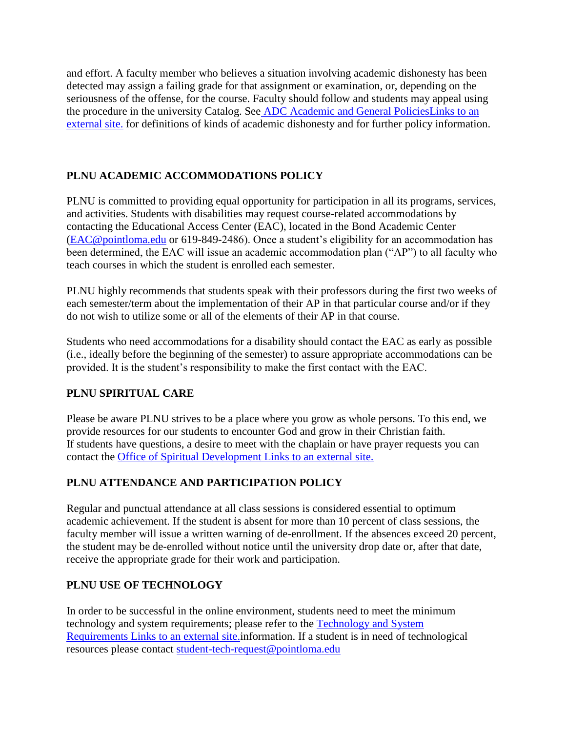and effort. A faculty member who believes a situation involving academic dishonesty has been detected may assign a failing grade for that assignment or examination, or, depending on the seriousness of the offense, for the course. Faculty should follow and students may appeal using the procedure in the university Catalog. See [ADC Academic and General PoliciesLinks to an](https://catalog.pointloma.edu/content.php?catoid=48&navoid=2757#Academic_Honesty)  [external site.](https://catalog.pointloma.edu/content.php?catoid=48&navoid=2757#Academic_Honesty) for definitions of kinds of academic dishonesty and for further policy information.

## **PLNU ACADEMIC ACCOMMODATIONS POLICY**

PLNU is committed to providing equal opportunity for participation in all its programs, services, and activities. Students with disabilities may request course-related accommodations by contacting the Educational Access Center (EAC), located in the Bond Academic Center [\(EAC@pointloma.edu](mailto:EAC@pointloma.edu) or 619-849-2486). Once a student's eligibility for an accommodation has been determined, the EAC will issue an academic accommodation plan ("AP") to all faculty who teach courses in which the student is enrolled each semester.

PLNU highly recommends that students speak with their professors during the first two weeks of each semester/term about the implementation of their AP in that particular course and/or if they do not wish to utilize some or all of the elements of their AP in that course.

Students who need accommodations for a disability should contact the EAC as early as possible (i.e., ideally before the beginning of the semester) to assure appropriate accommodations can be provided. It is the student's responsibility to make the first contact with the EAC.

## **PLNU SPIRITUAL CARE**

Please be aware PLNU strives to be a place where you grow as whole persons. To this end, we provide resources for our students to encounter God and grow in their Christian faith. If students have questions, a desire to meet with the chaplain or have prayer requests you can contact the [Office of Spiritual Development](https://www.pointloma.edu/offices/spiritual-development) Links to an external site.

# **PLNU ATTENDANCE AND PARTICIPATION POLICY**

Regular and punctual attendance at all class sessions is considered essential to optimum academic achievement. If the student is absent for more than 10 percent of class sessions, the faculty member will issue a written warning of de-enrollment. If the absences exceed 20 percent, the student may be de-enrolled without notice until the university drop date or, after that date, receive the appropriate grade for their work and participation.

## **PLNU USE OF TECHNOLOGY**

In order to be successful in the online environment, students need to meet the minimum technology and system requirements; please refer to the [Technology and System](https://help.pointloma.edu/TDClient/1808/Portal/KB/ArticleDet?ID=108349)  Requirements [Links to an external site.i](https://help.pointloma.edu/TDClient/1808/Portal/KB/ArticleDet?ID=108349)nformation. If a student is in need of technological resources please contact [student-tech-request@pointloma.edu](mailto:student-tech-request@pointloma.edu)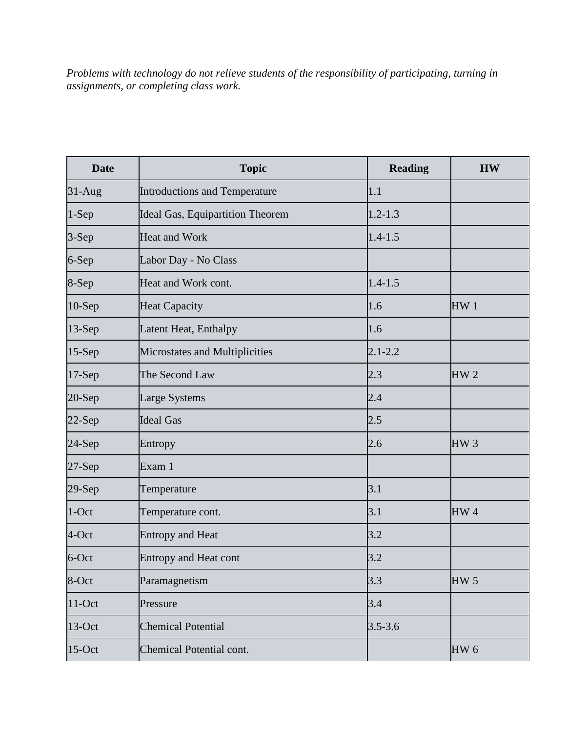*Problems with technology do not relieve students of the responsibility of participating, turning in assignments, or completing class work.*

| <b>Date</b> | <b>Topic</b>                     | <b>Reading</b> | <b>HW</b>       |
|-------------|----------------------------------|----------------|-----------------|
| $31-Aug$    | Introductions and Temperature    | 1.1            |                 |
| $1-Sep$     | Ideal Gas, Equipartition Theorem | $1.2 - 1.3$    |                 |
| 3-Sep       | <b>Heat and Work</b>             | $1.4 - 1.5$    |                 |
| 6-Sep       | Labor Day - No Class             |                |                 |
| 8-Sep       | Heat and Work cont.              | $1.4 - 1.5$    |                 |
| $10-$ Sep   | <b>Heat Capacity</b>             | 1.6            | HW <sub>1</sub> |
| 13-Sep      | Latent Heat, Enthalpy            | 1.6            |                 |
| $15-Sep$    | Microstates and Multiplicities   | $2.1 - 2.2$    |                 |
| $17-Sep$    | The Second Law                   | 2.3            | HW <sub>2</sub> |
| 20-Sep      | <b>Large Systems</b>             | 2.4            |                 |
| $22-Sep$    | <b>Ideal Gas</b>                 | 2.5            |                 |
| $24-Sep$    | Entropy                          | 2.6            | HW <sub>3</sub> |
| $27-Sep$    | Exam 1                           |                |                 |
| $29-Sep$    | Temperature                      | 3.1            |                 |
| $1$ -Oct    | Temperature cont.                | 3.1            | HW <sub>4</sub> |
| 4-Oct       | <b>Entropy and Heat</b>          | 3.2            |                 |
| 6-Oct       | <b>Entropy and Heat cont</b>     | 3.2            |                 |
| 8-Oct       | Paramagnetism                    | 3.3            | HW <sub>5</sub> |
| $11$ -Oct   | Pressure                         | 3.4            |                 |
| $13$ -Oct   | <b>Chemical Potential</b>        | $3.5 - 3.6$    |                 |
| $15$ -Oct   | Chemical Potential cont.         |                | HW <sub>6</sub> |